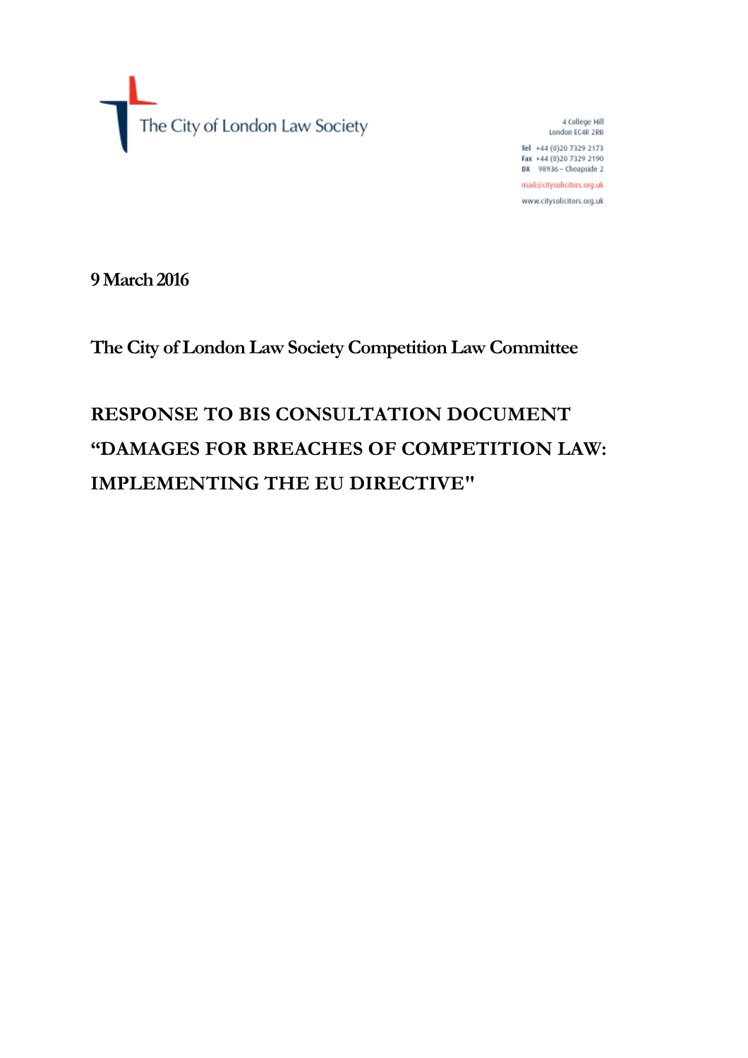The City of London Law Society

4 College Hill London EC4R 2RB Tel +44 (0)20 7329 2173 Fax +44 (0)20 7329 2190 DX 98936 - Cheapside 2 mail@citysolicitors.org.uk www.citysolicitors.org.uk

**9 March 2016**

**The City of London Law Society Competition Law Committee**

# **RESPONSE TO BIS CONSULTATION DOCUMENT "DAMAGES FOR BREACHES OF COMPETITION LAW: IMPLEMENTING THE EU DIRECTIVE"**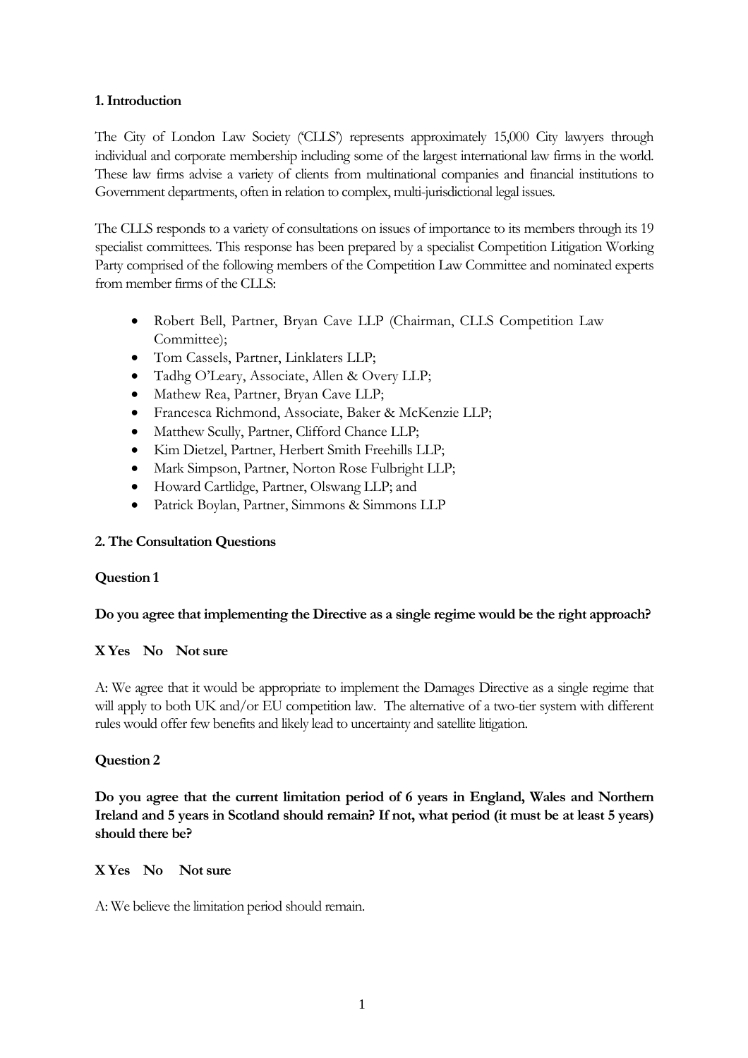## **1. Introduction**

The City of London Law Society ('CLLS') represents approximately 15,000 City lawyers through individual and corporate membership including some of the largest international law firms in the world. These law firms advise a variety of clients from multinational companies and financial institutions to Government departments, often in relation to complex, multi-jurisdictional legal issues.

The CLLS responds to a variety of consultations on issues of importance to its members through its 19 specialist committees. This response has been prepared by a specialist Competition Litigation Working Party comprised of the following members of the Competition Law Committee and nominated experts from member firms of the CLLS:

- Robert Bell, Partner, Bryan Cave LLP (Chairman, CLLS Competition Law Committee);
- Tom Cassels, Partner, Linklaters LLP;
- Tadhg O'Leary, Associate, Allen & Overy LLP;
- Mathew Rea, Partner, Bryan Cave LLP;
- Francesca Richmond, Associate, Baker & McKenzie LLP;
- Matthew Scully, Partner, Clifford Chance LLP;
- Kim Dietzel, Partner, Herbert Smith Freehills LLP;
- Mark Simpson, Partner, Norton Rose Fulbright LLP;
- Howard Cartlidge, Partner, Olswang LLP; and
- Patrick Boylan, Partner, Simmons & Simmons LLP

# **2. The Consultation Questions**

## **Question 1**

## **Do you agree that implementing the Directive as a single regime would be the right approach?**

# **X Yes No Not sure**

A: We agree that it would be appropriate to implement the Damages Directive as a single regime that will apply to both UK and/or EU competition law. The alternative of a two-tier system with different rules would offer few benefits and likely lead to uncertainty and satellite litigation.

# **Question 2**

**Do you agree that the current limitation period of 6 years in England, Wales and Northern Ireland and 5 years in Scotland should remain? If not, what period (it must be at least 5 years) should there be?**

## **X Yes No Not sure**

A: We believe the limitation period should remain.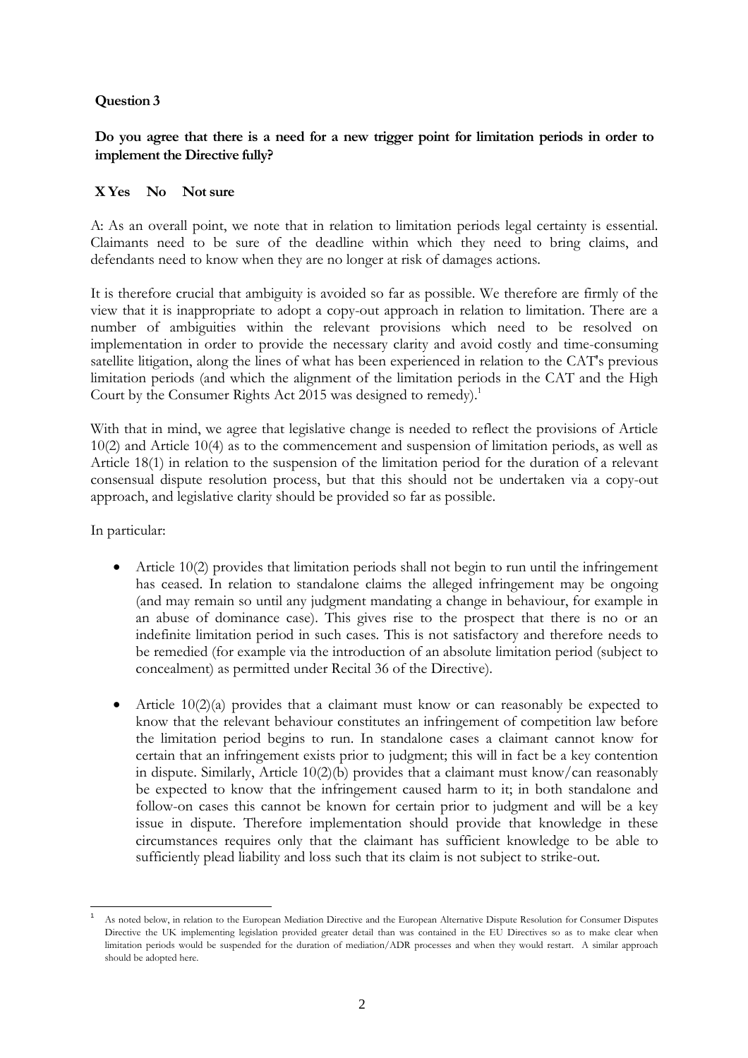## **Question 3**

# **Do you agree that there is a need for a new trigger point for limitation periods in order to implement the Directive fully?**

## **X Yes No Not sure**

A: As an overall point, we note that in relation to limitation periods legal certainty is essential. Claimants need to be sure of the deadline within which they need to bring claims, and defendants need to know when they are no longer at risk of damages actions.

It is therefore crucial that ambiguity is avoided so far as possible. We therefore are firmly of the view that it is inappropriate to adopt a copy-out approach in relation to limitation. There are a number of ambiguities within the relevant provisions which need to be resolved on implementation in order to provide the necessary clarity and avoid costly and time-consuming satellite litigation, along the lines of what has been experienced in relation to the CAT's previous limitation periods (and which the alignment of the limitation periods in the CAT and the High Court by the Consumer Rights Act 2015 was designed to remedy).<sup>1</sup>

With that in mind, we agree that legislative change is needed to reflect the provisions of Article 10(2) and Article 10(4) as to the commencement and suspension of limitation periods, as well as Article 18(1) in relation to the suspension of the limitation period for the duration of a relevant consensual dispute resolution process, but that this should not be undertaken via a copy-out approach, and legislative clarity should be provided so far as possible.

In particular:

- Article 10(2) provides that limitation periods shall not begin to run until the infringement has ceased. In relation to standalone claims the alleged infringement may be ongoing (and may remain so until any judgment mandating a change in behaviour, for example in an abuse of dominance case). This gives rise to the prospect that there is no or an indefinite limitation period in such cases. This is not satisfactory and therefore needs to be remedied (for example via the introduction of an absolute limitation period (subject to concealment) as permitted under Recital 36 of the Directive).
- Article  $10(2)(a)$  provides that a claimant must know or can reasonably be expected to know that the relevant behaviour constitutes an infringement of competition law before the limitation period begins to run. In standalone cases a claimant cannot know for certain that an infringement exists prior to judgment; this will in fact be a key contention in dispute. Similarly, Article 10(2)(b) provides that a claimant must know/can reasonably be expected to know that the infringement caused harm to it; in both standalone and follow-on cases this cannot be known for certain prior to judgment and will be a key issue in dispute. Therefore implementation should provide that knowledge in these circumstances requires only that the claimant has sufficient knowledge to be able to sufficiently plead liability and loss such that its claim is not subject to strike-out.

As noted below, in relation to the European Mediation Directive and the European Alternative Dispute Resolution for Consumer Disputes Directive the UK implementing legislation provided greater detail than was contained in the EU Directives so as to make clear when limitation periods would be suspended for the duration of mediation/ADR processes and when they would restart. A similar approach should be adopted here.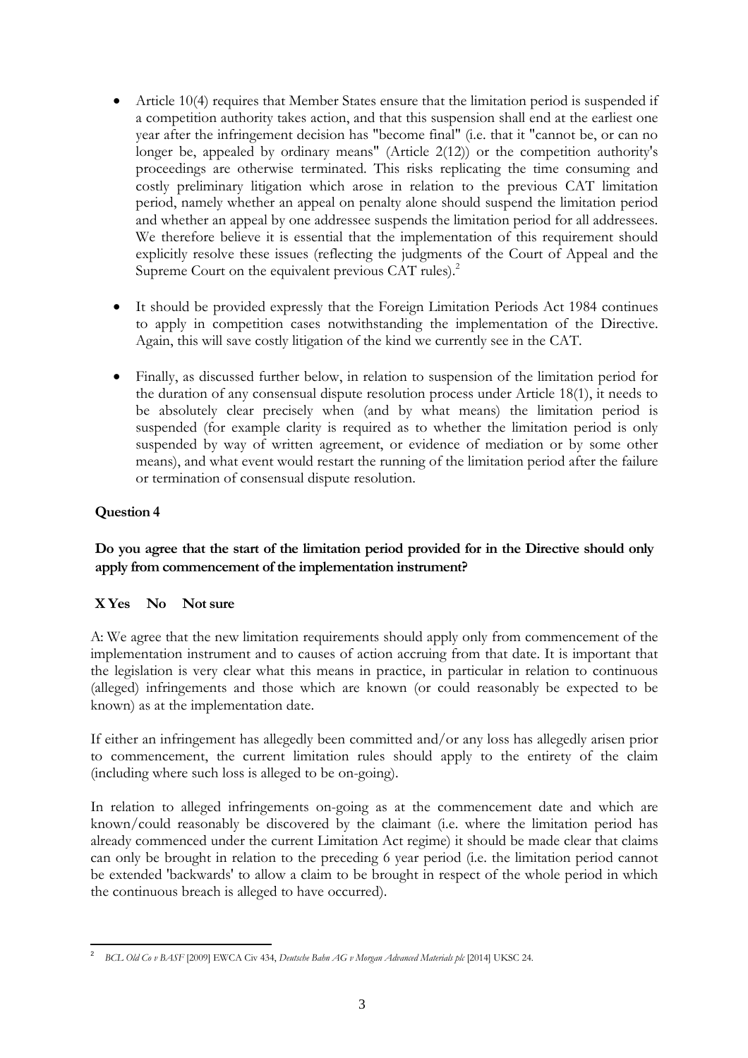- Article 10(4) requires that Member States ensure that the limitation period is suspended if a competition authority takes action, and that this suspension shall end at the earliest one year after the infringement decision has "become final" (i.e. that it "cannot be, or can no longer be, appealed by ordinary means" (Article 2(12)) or the competition authority's proceedings are otherwise terminated. This risks replicating the time consuming and costly preliminary litigation which arose in relation to the previous CAT limitation period, namely whether an appeal on penalty alone should suspend the limitation period and whether an appeal by one addressee suspends the limitation period for all addressees. We therefore believe it is essential that the implementation of this requirement should explicitly resolve these issues (reflecting the judgments of the Court of Appeal and the Supreme Court on the equivalent previous CAT rules).<sup>2</sup>
- It should be provided expressly that the Foreign Limitation Periods Act 1984 continues to apply in competition cases notwithstanding the implementation of the Directive. Again, this will save costly litigation of the kind we currently see in the CAT.
- Finally, as discussed further below, in relation to suspension of the limitation period for the duration of any consensual dispute resolution process under Article 18(1), it needs to be absolutely clear precisely when (and by what means) the limitation period is suspended (for example clarity is required as to whether the limitation period is only suspended by way of written agreement, or evidence of mediation or by some other means), and what event would restart the running of the limitation period after the failure or termination of consensual dispute resolution.

# **Question 4**

# **Do you agree that the start of the limitation period provided for in the Directive should only apply from commencement of the implementation instrument?**

# **X Yes No Not sure**

A: We agree that the new limitation requirements should apply only from commencement of the implementation instrument and to causes of action accruing from that date. It is important that the legislation is very clear what this means in practice, in particular in relation to continuous (alleged) infringements and those which are known (or could reasonably be expected to be known) as at the implementation date.

If either an infringement has allegedly been committed and/or any loss has allegedly arisen prior to commencement, the current limitation rules should apply to the entirety of the claim (including where such loss is alleged to be on-going).

In relation to alleged infringements on-going as at the commencement date and which are known/could reasonably be discovered by the claimant (i.e. where the limitation period has already commenced under the current Limitation Act regime) it should be made clear that claims can only be brought in relation to the preceding 6 year period (i.e. the limitation period cannot be extended 'backwards' to allow a claim to be brought in respect of the whole period in which the continuous breach is alleged to have occurred).

<sup>&</sup>lt;sup>2</sup> BCL Old Co v BASF [2009] EWCA Civ 434, *Deutsche Bahn AG v Morgan Advanced Materials plc* [2014] UKSC 24.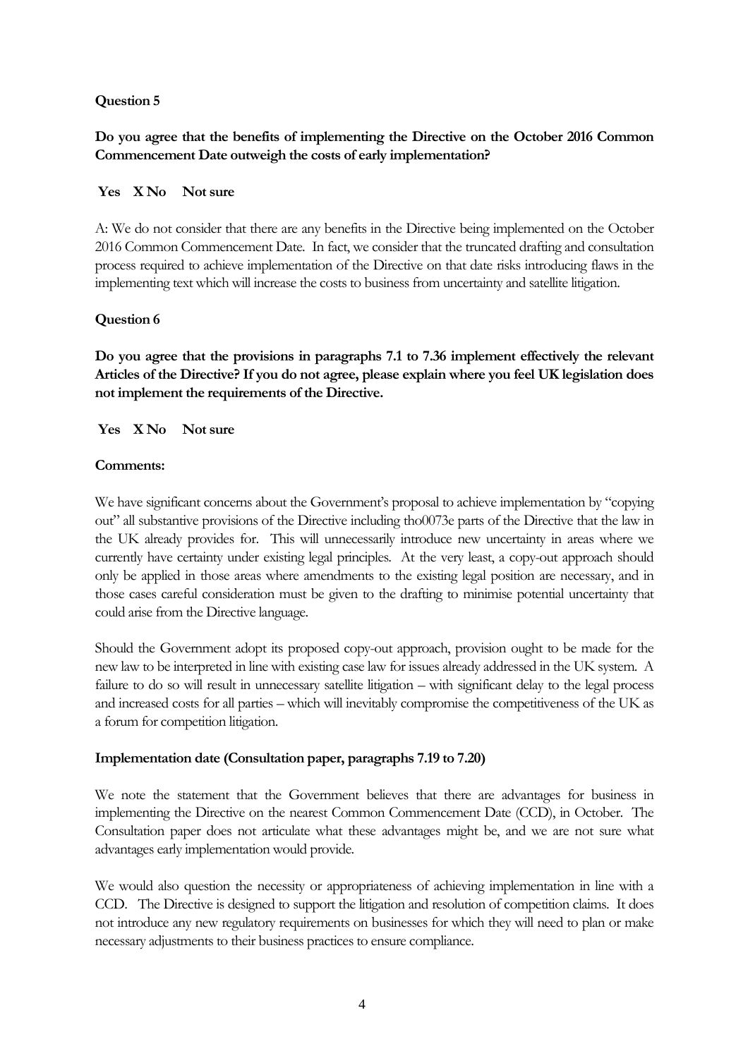## **Question 5**

# **Do you agree that the benefits of implementing the Directive on the October 2016 Common Commencement Date outweigh the costs of early implementation?**

## **Yes X No Not sure**

A: We do not consider that there are any benefits in the Directive being implemented on the October 2016 Common Commencement Date. In fact, we consider that the truncated drafting and consultation process required to achieve implementation of the Directive on that date risks introducing flaws in the implementing text which will increase the costs to business from uncertainty and satellite litigation.

## **Question 6**

**Do you agree that the provisions in paragraphs 7.1 to 7.36 implement effectively the relevant Articles of the Directive? If you do not agree, please explain where you feel UK legislation does not implement the requirements of the Directive.**

**Yes X No Not sure**

## **Comments:**

We have significant concerns about the Government's proposal to achieve implementation by "copying out" all substantive provisions of the Directive including tho0073e parts of the Directive that the law in the UK already provides for. This will unnecessarily introduce new uncertainty in areas where we currently have certainty under existing legal principles. At the very least, a copy-out approach should only be applied in those areas where amendments to the existing legal position are necessary, and in those cases careful consideration must be given to the drafting to minimise potential uncertainty that could arise from the Directive language.

Should the Government adopt its proposed copy-out approach, provision ought to be made for the new law to be interpreted in line with existing case law for issues already addressed in the UK system. A failure to do so will result in unnecessary satellite litigation – with significant delay to the legal process and increased costs for all parties – which will inevitably compromise the competitiveness of the UK as a forum for competition litigation.

## **Implementation date (Consultation paper, paragraphs 7.19 to 7.20)**

We note the statement that the Government believes that there are advantages for business in implementing the Directive on the nearest Common Commencement Date (CCD), in October. The Consultation paper does not articulate what these advantages might be, and we are not sure what advantages early implementation would provide.

We would also question the necessity or appropriateness of achieving implementation in line with a CCD. The Directive is designed to support the litigation and resolution of competition claims. It does not introduce any new regulatory requirements on businesses for which they will need to plan or make necessary adjustments to their business practices to ensure compliance.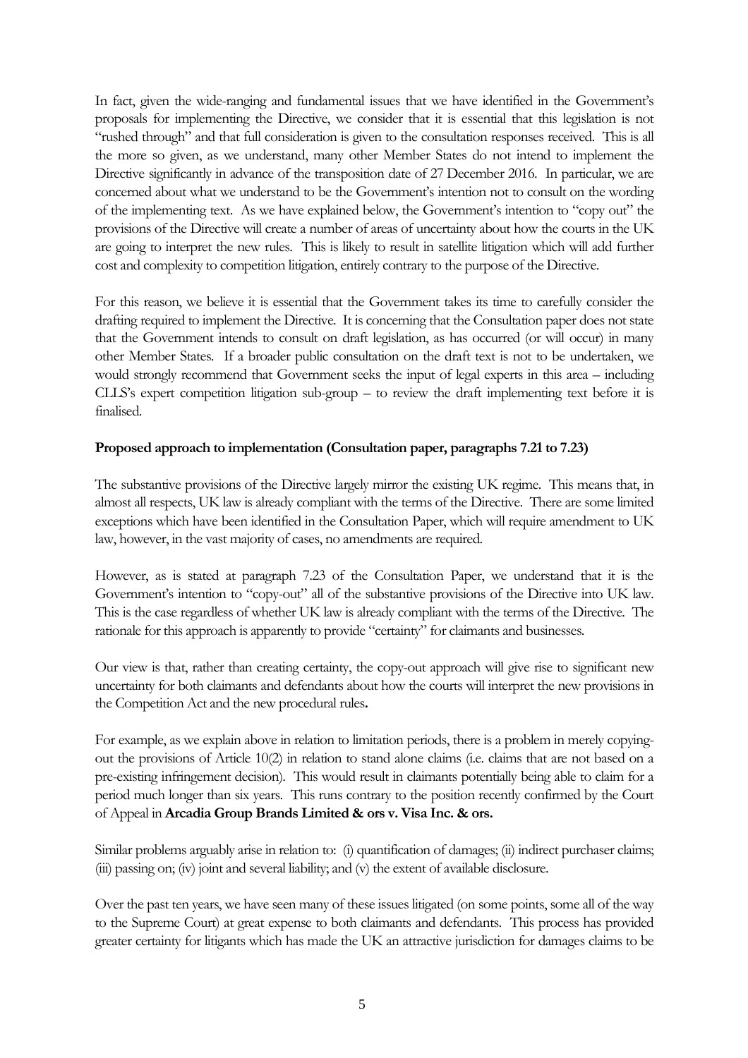In fact, given the wide-ranging and fundamental issues that we have identified in the Government's proposals for implementing the Directive, we consider that it is essential that this legislation is not "rushed through" and that full consideration is given to the consultation responses received. This is all the more so given, as we understand, many other Member States do not intend to implement the Directive significantly in advance of the transposition date of 27 December 2016. In particular, we are concerned about what we understand to be the Government's intention not to consult on the wording of the implementing text. As we have explained below, the Government's intention to "copy out" the provisions of the Directive will create a number of areas of uncertainty about how the courts in the UK are going to interpret the new rules. This is likely to result in satellite litigation which will add further cost and complexity to competition litigation, entirely contrary to the purpose of the Directive.

For this reason, we believe it is essential that the Government takes its time to carefully consider the drafting required to implement the Directive. It is concerning that the Consultation paper does not state that the Government intends to consult on draft legislation, as has occurred (or will occur) in many other Member States. If a broader public consultation on the draft text is not to be undertaken, we would strongly recommend that Government seeks the input of legal experts in this area – including CLLS's expert competition litigation sub-group – to review the draft implementing text before it is finalised.

## **Proposed approach to implementation (Consultation paper, paragraphs 7.21 to 7.23)**

The substantive provisions of the Directive largely mirror the existing UK regime. This means that, in almost all respects, UK law is already compliant with the terms of the Directive. There are some limited exceptions which have been identified in the Consultation Paper, which will require amendment to UK law, however, in the vast majority of cases, no amendments are required.

However, as is stated at paragraph 7.23 of the Consultation Paper, we understand that it is the Government's intention to "copy-out" all of the substantive provisions of the Directive into UK law. This is the case regardless of whether UK law is already compliant with the terms of the Directive. The rationale for this approach is apparently to provide "certainty" for claimants and businesses.

Our view is that, rather than creating certainty, the copy-out approach will give rise to significant new uncertainty for both claimants and defendants about how the courts will interpret the new provisions in the Competition Act and the new procedural rules**.**

For example, as we explain above in relation to limitation periods, there is a problem in merely copyingout the provisions of Article 10(2) in relation to stand alone claims (i.e. claims that are not based on a pre-existing infringement decision). This would result in claimants potentially being able to claim for a period much longer than six years. This runs contrary to the position recently confirmed by the Court of Appeal in **Arcadia Group Brands Limited & ors v. Visa Inc. & ors.**

Similar problems arguably arise in relation to: (i) quantification of damages; (ii) indirect purchaser claims; (iii) passing on; (iv) joint and several liability; and (v) the extent of available disclosure.

Over the past ten years, we have seen many of these issues litigated (on some points, some all of the way to the Supreme Court) at great expense to both claimants and defendants. This process has provided greater certainty for litigants which has made the UK an attractive jurisdiction for damages claims to be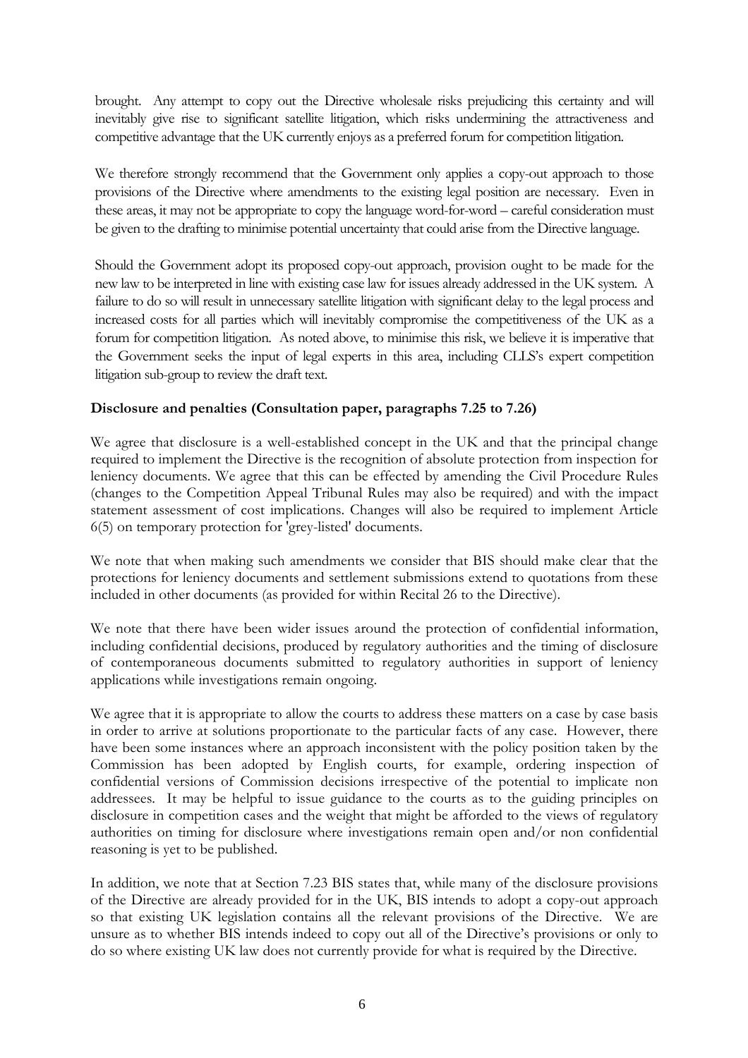brought. Any attempt to copy out the Directive wholesale risks prejudicing this certainty and will inevitably give rise to significant satellite litigation, which risks undermining the attractiveness and competitive advantage that the UK currently enjoys as a preferred forum for competition litigation.

We therefore strongly recommend that the Government only applies a copy-out approach to those provisions of the Directive where amendments to the existing legal position are necessary. Even in these areas, it may not be appropriate to copy the language word-for-word – careful consideration must be given to the drafting to minimise potential uncertainty that could arise from the Directive language.

Should the Government adopt its proposed copy-out approach, provision ought to be made for the new law to be interpreted in line with existing case law for issues already addressed in the UK system. A failure to do so will result in unnecessary satellite litigation with significant delay to the legal process and increased costs for all parties which will inevitably compromise the competitiveness of the UK as a forum for competition litigation. As noted above, to minimise this risk, we believe it is imperative that the Government seeks the input of legal experts in this area, including CLLS's expert competition litigation sub-group to review the draft text.

## **Disclosure and penalties (Consultation paper, paragraphs 7.25 to 7.26)**

We agree that disclosure is a well-established concept in the UK and that the principal change required to implement the Directive is the recognition of absolute protection from inspection for leniency documents. We agree that this can be effected by amending the Civil Procedure Rules (changes to the Competition Appeal Tribunal Rules may also be required) and with the impact statement assessment of cost implications. Changes will also be required to implement Article 6(5) on temporary protection for 'grey-listed' documents.

We note that when making such amendments we consider that BIS should make clear that the protections for leniency documents and settlement submissions extend to quotations from these included in other documents (as provided for within Recital 26 to the Directive).

We note that there have been wider issues around the protection of confidential information, including confidential decisions, produced by regulatory authorities and the timing of disclosure of contemporaneous documents submitted to regulatory authorities in support of leniency applications while investigations remain ongoing.

We agree that it is appropriate to allow the courts to address these matters on a case by case basis in order to arrive at solutions proportionate to the particular facts of any case. However, there have been some instances where an approach inconsistent with the policy position taken by the Commission has been adopted by English courts, for example, ordering inspection of confidential versions of Commission decisions irrespective of the potential to implicate non addressees. It may be helpful to issue guidance to the courts as to the guiding principles on disclosure in competition cases and the weight that might be afforded to the views of regulatory authorities on timing for disclosure where investigations remain open and/or non confidential reasoning is yet to be published.

In addition, we note that at Section 7.23 BIS states that, while many of the disclosure provisions of the Directive are already provided for in the UK, BIS intends to adopt a copy-out approach so that existing UK legislation contains all the relevant provisions of the Directive. We are unsure as to whether BIS intends indeed to copy out all of the Directive's provisions or only to do so where existing UK law does not currently provide for what is required by the Directive.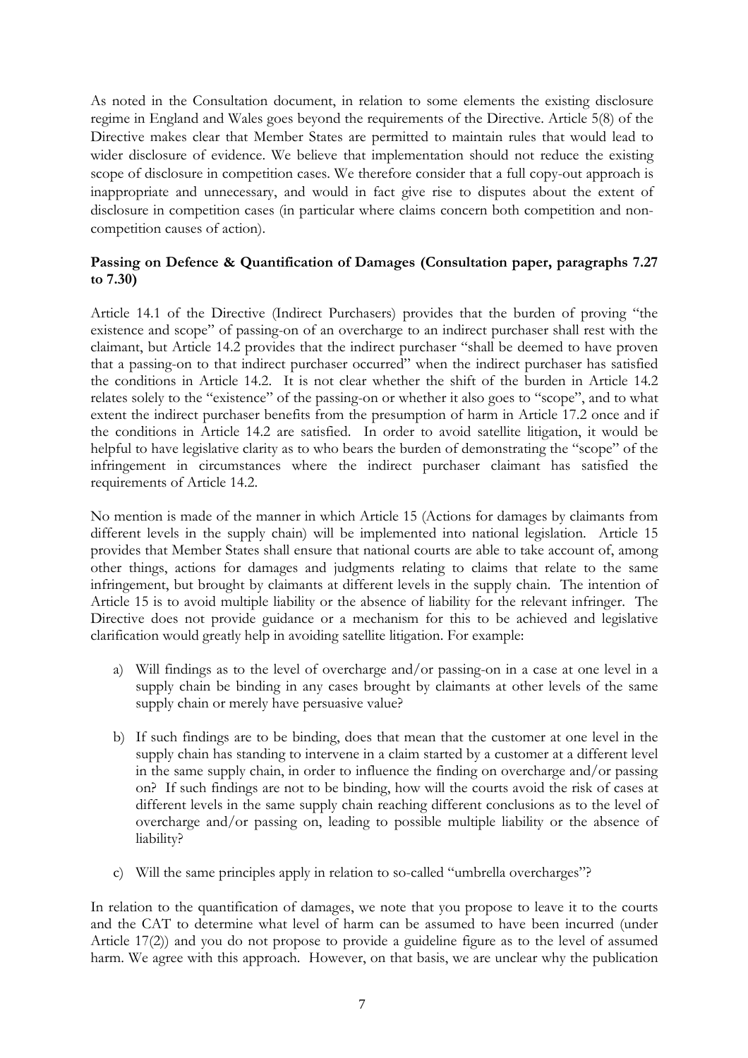As noted in the Consultation document, in relation to some elements the existing disclosure regime in England and Wales goes beyond the requirements of the Directive. Article 5(8) of the Directive makes clear that Member States are permitted to maintain rules that would lead to wider disclosure of evidence. We believe that implementation should not reduce the existing scope of disclosure in competition cases. We therefore consider that a full copy-out approach is inappropriate and unnecessary, and would in fact give rise to disputes about the extent of disclosure in competition cases (in particular where claims concern both competition and noncompetition causes of action).

## **Passing on Defence & Quantification of Damages (Consultation paper, paragraphs 7.27 to 7.30)**

Article 14.1 of the Directive (Indirect Purchasers) provides that the burden of proving "the existence and scope" of passing-on of an overcharge to an indirect purchaser shall rest with the claimant, but Article 14.2 provides that the indirect purchaser "shall be deemed to have proven that a passing-on to that indirect purchaser occurred" when the indirect purchaser has satisfied the conditions in Article 14.2. It is not clear whether the shift of the burden in Article 14.2 relates solely to the "existence" of the passing-on or whether it also goes to "scope", and to what extent the indirect purchaser benefits from the presumption of harm in Article 17.2 once and if the conditions in Article 14.2 are satisfied. In order to avoid satellite litigation, it would be helpful to have legislative clarity as to who bears the burden of demonstrating the "scope" of the infringement in circumstances where the indirect purchaser claimant has satisfied the requirements of Article 14.2.

No mention is made of the manner in which Article 15 (Actions for damages by claimants from different levels in the supply chain) will be implemented into national legislation. Article 15 provides that Member States shall ensure that national courts are able to take account of, among other things, actions for damages and judgments relating to claims that relate to the same infringement, but brought by claimants at different levels in the supply chain. The intention of Article 15 is to avoid multiple liability or the absence of liability for the relevant infringer. The Directive does not provide guidance or a mechanism for this to be achieved and legislative clarification would greatly help in avoiding satellite litigation. For example:

- a) Will findings as to the level of overcharge and/or passing-on in a case at one level in a supply chain be binding in any cases brought by claimants at other levels of the same supply chain or merely have persuasive value?
- b) If such findings are to be binding, does that mean that the customer at one level in the supply chain has standing to intervene in a claim started by a customer at a different level in the same supply chain, in order to influence the finding on overcharge and/or passing on? If such findings are not to be binding, how will the courts avoid the risk of cases at different levels in the same supply chain reaching different conclusions as to the level of overcharge and/or passing on, leading to possible multiple liability or the absence of liability?
- c) Will the same principles apply in relation to so-called "umbrella overcharges"?

In relation to the quantification of damages, we note that you propose to leave it to the courts and the CAT to determine what level of harm can be assumed to have been incurred (under Article 17(2)) and you do not propose to provide a guideline figure as to the level of assumed harm. We agree with this approach. However, on that basis, we are unclear why the publication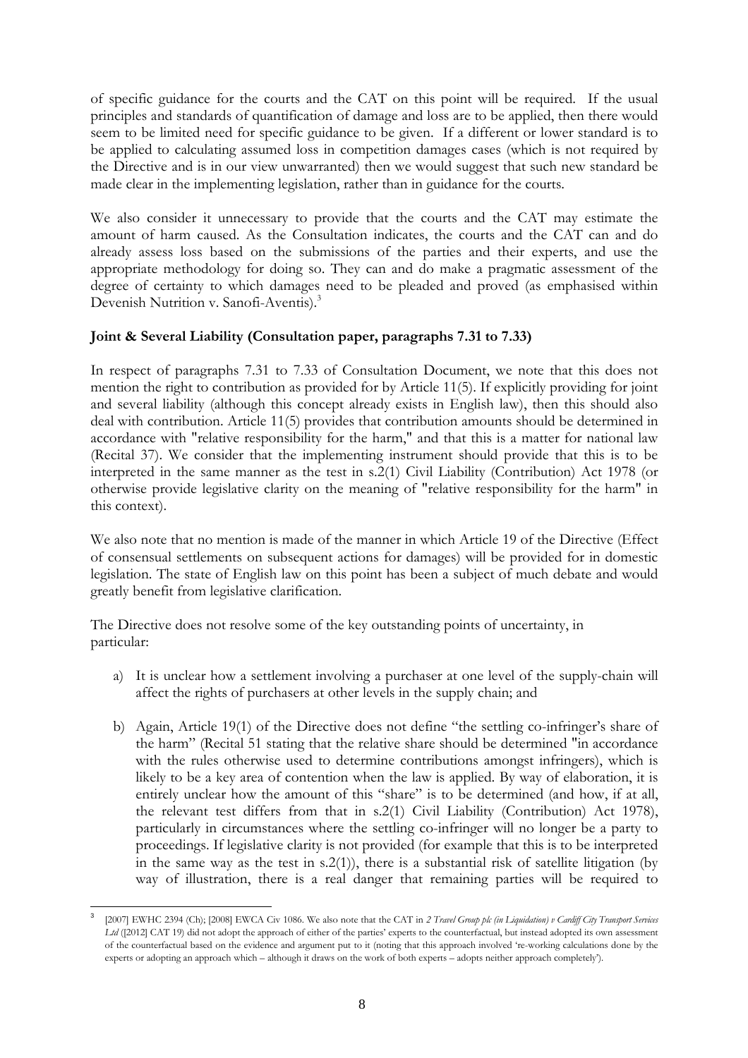of specific guidance for the courts and the CAT on this point will be required. If the usual principles and standards of quantification of damage and loss are to be applied, then there would seem to be limited need for specific guidance to be given. If a different or lower standard is to be applied to calculating assumed loss in competition damages cases (which is not required by the Directive and is in our view unwarranted) then we would suggest that such new standard be made clear in the implementing legislation, rather than in guidance for the courts.

We also consider it unnecessary to provide that the courts and the CAT may estimate the amount of harm caused. As the Consultation indicates, the courts and the CAT can and do already assess loss based on the submissions of the parties and their experts, and use the appropriate methodology for doing so. They can and do make a pragmatic assessment of the degree of certainty to which damages need to be pleaded and proved (as emphasised within Devenish Nutrition v. Sanofi-Aventis).<sup>3</sup>

## **Joint & Several Liability (Consultation paper, paragraphs 7.31 to 7.33)**

In respect of paragraphs 7.31 to 7.33 of Consultation Document, we note that this does not mention the right to contribution as provided for by Article 11(5). If explicitly providing for joint and several liability (although this concept already exists in English law), then this should also deal with contribution. Article 11(5) provides that contribution amounts should be determined in accordance with "relative responsibility for the harm," and that this is a matter for national law (Recital 37). We consider that the implementing instrument should provide that this is to be interpreted in the same manner as the test in s.2(1) Civil Liability (Contribution) Act 1978 (or otherwise provide legislative clarity on the meaning of "relative responsibility for the harm" in this context).

We also note that no mention is made of the manner in which Article 19 of the Directive (Effect of consensual settlements on subsequent actions for damages) will be provided for in domestic legislation. The state of English law on this point has been a subject of much debate and would greatly benefit from legislative clarification.

The Directive does not resolve some of the key outstanding points of uncertainty, in particular:

- a) It is unclear how a settlement involving a purchaser at one level of the supply-chain will affect the rights of purchasers at other levels in the supply chain; and
- b) Again, Article 19(1) of the Directive does not define "the settling co-infringer's share of the harm" (Recital 51 stating that the relative share should be determined "in accordance with the rules otherwise used to determine contributions amongst infringers), which is likely to be a key area of contention when the law is applied. By way of elaboration, it is entirely unclear how the amount of this "share" is to be determined (and how, if at all, the relevant test differs from that in s.2(1) Civil Liability (Contribution) Act 1978), particularly in circumstances where the settling co-infringer will no longer be a party to proceedings. If legislative clarity is not provided (for example that this is to be interpreted in the same way as the test in s.2(1)), there is a substantial risk of satellite litigation (by way of illustration, there is a real danger that remaining parties will be required to

<sup>3</sup> [2007] EWHC 2394 (Ch); [2008] EWCA Civ 1086. We also note that the CAT in *2 Travel Group plc (in Liquidation) v Cardiff City Transport Services Ltd* ([2012] CAT 19) did not adopt the approach of either of the parties' experts to the counterfactual, but instead adopted its own assessment of the counterfactual based on the evidence and argument put to it (noting that this approach involved 're-working calculations done by the experts or adopting an approach which – although it draws on the work of both experts – adopts neither approach completely').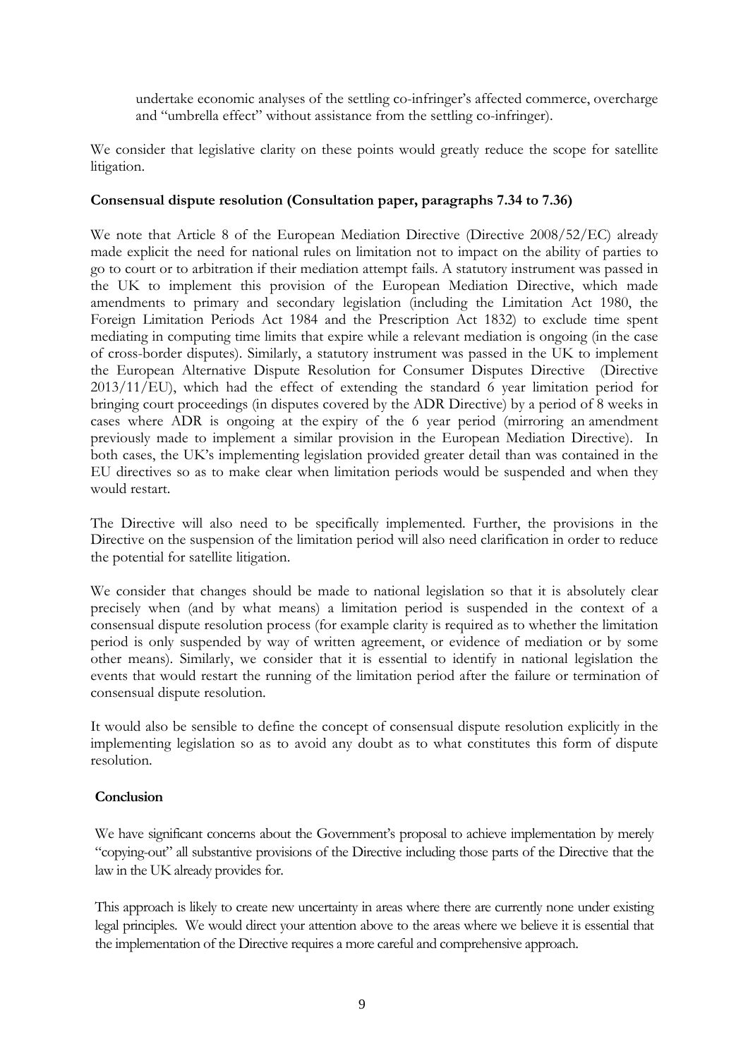undertake economic analyses of the settling co-infringer's affected commerce, overcharge and "umbrella effect" without assistance from the settling co-infringer).

We consider that legislative clarity on these points would greatly reduce the scope for satellite litigation.

## **Consensual dispute resolution (Consultation paper, paragraphs 7.34 to 7.36)**

We note that Article 8 of the European Mediation Directive (Directive 2008/52/EC) already made explicit the need for national rules on limitation not to impact on the ability of parties to go to court or to arbitration if their mediation attempt fails. A statutory instrument was passed in the UK to implement this provision of the European Mediation Directive, which made amendments to primary and secondary legislation (including the Limitation Act 1980, the Foreign Limitation Periods Act 1984 and the Prescription Act 1832) to exclude time spent mediating in computing time limits that expire while a relevant mediation is ongoing (in the case of cross-border disputes). Similarly, a statutory instrument was passed in the UK to implement the European Alternative Dispute Resolution for Consumer Disputes Directive (Directive  $2013/11/EU$ , which had the effect of extending the standard 6 year limitation period for bringing court proceedings (in disputes covered by the ADR Directive) by a period of 8 weeks in cases where ADR is ongoing at the expiry of the 6 year period (mirroring an amendment previously made to implement a similar provision in the European Mediation Directive). In both cases, the UK's implementing legislation provided greater detail than was contained in the EU directives so as to make clear when limitation periods would be suspended and when they would restart.

The Directive will also need to be specifically implemented. Further, the provisions in the Directive on the suspension of the limitation period will also need clarification in order to reduce the potential for satellite litigation.

We consider that changes should be made to national legislation so that it is absolutely clear precisely when (and by what means) a limitation period is suspended in the context of a consensual dispute resolution process (for example clarity is required as to whether the limitation period is only suspended by way of written agreement, or evidence of mediation or by some other means). Similarly, we consider that it is essential to identify in national legislation the events that would restart the running of the limitation period after the failure or termination of consensual dispute resolution.

It would also be sensible to define the concept of consensual dispute resolution explicitly in the implementing legislation so as to avoid any doubt as to what constitutes this form of dispute resolution.

## **Conclusion**

We have significant concerns about the Government's proposal to achieve implementation by merely "copying-out" all substantive provisions of the Directive including those parts of the Directive that the law in the UK already provides for.

This approach is likely to create new uncertainty in areas where there are currently none under existing legal principles. We would direct your attention above to the areas where we believe it is essential that the implementation of the Directive requires a more careful and comprehensive approach.